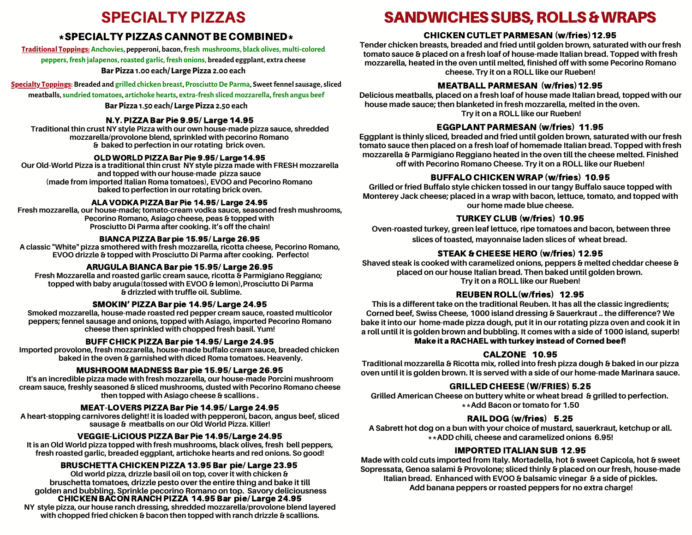# SPECIALTY PIZZAS

# \*SPECIALTY PIZZAS CANNOT BE COMBINED\*

**Traditional Toppings:Anchovies, pepperoni, bacon,fresh mushrooms, black olives, multi-colored**

**peppers,fresh jalapenos,roasted garlic,fresh onions, breaded eggplant, extra cheese**

#### **Bar Pizza 1.00 each/ Large Pizza 2.00 each**

**Specialty Toppings: Breaded and grilled chicken breast, ProsciuttoDe Parma, Sweetfennelsausage,sliced**

**meatballs,sundried tomatoes, artichoke hearts, extra-fresh sliced mozzarella,fresh angus beef**

#### **Bar Pizza 1.50 each/ Large Pizza 2.50 each**

#### N.Y. PIZZA Bar Pie 9.95/ Large 14.95

**Traditional thin crust NY style Pizza with our own house-made pizza sauce, shredded mozzarella/provolone blend, sprinkled with pecorino Romano & baked to perfection in our rotating brick oven.**

#### OLD WORLD PIZZA Bar Pie 9.95/ Large14.95

**Our Old-World Pizza is a traditional thin crust NY style pizza made with FRESH mozzarella and topped with our house-made pizza sauce (made from imported Italian Roma tomatoes), EVOO and Pecorino Romano baked to perfection in our rotating brick oven.**

#### ALA VODKA PIZZA Bar Pie 14.95/ Large 24.95

**Fresh mozzarella, our house-made; tomato-cream vodka sauce, seasoned fresh mushrooms, Pecorino Romano, Asiago cheese, peas & topped with Prosciutto Di Parma after cooking. it's off the chain!**

#### BIANCA PIZZA Bar pie 15.95/ Large 26.95

**A classic "White" pizza smothered with fresh mozzarella, ricotta cheese, Pecorino Romano, EVOO drizzle & topped with Prosciutto Di Parma after cooking. Perfecto!**

## ARUGULA BIANCA Bar pie 15.95/ Large 26.95

**Fresh Mozzarella and roasted garlic cream sauce, ricotta & Parmigiano Reggiano; topped with baby arugula(tossed with EVOO & lemon),Prosciutto Di Parma & drizzled with truffle oil. Sublime.**

#### SMOKIN' PIZZA Bar pie 14.95/ Large 24.95

**Smoked mozzarella, house-made roasted red pepper cream sauce, roasted multicolor peppers; fennel sausage and onions, topped with Asiago, imported Pecorino Romano cheese then sprinkled with chopped fresh basil. Yum!**

# BUFF CHICK PIZZA Bar pie 14.95/ Large 24.95

**Imported provolone, fresh mozzarella, house-made buffalo cream sauce, breaded chicken baked in the oven & garnished with diced Roma tomatoes. Heavenly.**

# MUSHROOM MADNESS Bar pie 15.95/ Large 26.95

**It's an incredible pizza made with fresh mozzarella, our house-made Porcini mushroom cream sauce, freshly seasoned & sliced mushrooms, dusted with Pecorino Romano cheese then topped with Asiago cheese & scallions .**

#### MEAT-LOVERS PIZZA Bar Pie 14.95/ Large 24.95

**A heart-stopping carnivores delight! it is loaded with pepperoni, bacon, angus beef, sliced sausage & meatballs on our Old World Pizza. Killer!**

# VEGGIE-LiCIOUS PIZZA Bar Pie 14.95/Large 24.95

**It is an Old World pizza topped with fresh mushrooms, black olives, fresh bell peppers, fresh roasted garlic, breaded eggplant, artichoke hearts and red onions. So good!**

# BRUSCHETTA CHICKEN PIZZA 13.95 Bar pie/ Large 23.95

**Old world pizza, drizzle basil oil on top, cover it with chicken & bruschetta tomatoes, drizzle pesto over the entire thing and bake it till golden and bubbling. Sprinkle pecorino Romano on top. Savory deliciousness** CHICKEN BACON RANCH PIZZA 14.95 Bar pie/ Large 24.95 **NY style pizza, our house ranch dressing, shredded mozzarella/provolone blend layered with chopped fried chicken & bacon then topped with ranch drizzle & scallions.**

# SANDWICHES SUBS, ROLLS & WRAPS

# CHICKEN CUTLET PARMESAN (w/fries)12.95

**Tender chicken breasts, breaded and fried until golden brown, saturated with our fresh tomato sauce & placed on a fresh loaf of house-made Italian bread. Topped with fresh mozzarella, heated in the oven until melted, finished off with some Pecorino Romano cheese. Try it on a ROLL like our Rueben!**

# MEATBALL PARMESAN (w/fries)12.95

**Delicious meatballs, placed on a fresh loaf of house made Italian bread, topped with our house made sauce; then blanketed in fresh mozzarella, melted in the oven. Try it on a ROLL like our Rueben!**

## EGGPLANT PARMESAN (w/fries) 11.95

**Eggplant is thinly sliced, breaded and fried until golden brown, saturated with our fresh tomato sauce then placed on a fresh loaf of homemade Italian bread. Topped with fresh mozzarella & Parmigiano Reggiano heated in the oven till the cheese melted. Finished off with Pecorino Romano Cheese. Try it on a ROLL like our Rueben!**

## BUFFALO CHICKEN WRAP (w/fries) 10.95

**Grilled or fried Buffalo style chicken tossed in our tangy Buffalo sauce topped with Monterey Jack cheese; placed in a wrap with bacon, lettuce, tomato, and topped with our home made blue cheese.**

#### TURKEY CLUB (w/fries) 10.95

**Oven-roasted turkey, green leaf lettuce, ripe tomatoes and bacon, between three slices of toasted, mayonnaise laden slices of wheat bread.**

#### STEAK & CHEESE HERO (w/fries) 12.95

**Shaved steak is cooked with caramelized onions, peppers & melted cheddar cheese & placed on our house Italian bread. Then baked until golden brown. Try it on a ROLL like our Rueben!**

#### REUBEN ROLL(w/fries) 12.95

**This is a different take on the traditional Reuben. It has all the classic ingredients; Corned beef, Swiss Cheese, 1000 island dressing & Sauerkraut .. the difference? We bake it into our home-made pizza dough, put it in our rotating pizza oven and cook it in a roll until it is golden brown and bubbling. It comes with a side of 1000 island, superb!** Make it a RACHAEL with turkey instead of Corned beef!

# CALZONE 10.95

**Traditional mozzarella & Ricotta mix, rolled into fresh pizza dough & baked in our pizza oven until it is golden brown. It is served with a side of our home-made Marinara sauce.**

## GRILLED CHEESE (W/FRIES) 5.25

**Grilled American Cheese on buttery white or wheat bread & grilled to perfection. \*\*Add Bacon or tomato for 1.50**

#### RAIL DOG (w/fries) 5.25

**A Sabrett hot dog on a bun with your choice of mustard, sauerkraut, ketchup or all. \*\*ADD chili, cheese and caramelized onions 6.95!**

# IMPORTED ITALIAN SUB 12.95

**Made with cold cuts imported from Italy. Mortadella, hot & sweet Capicola, hot & sweet Sopressata, Genoa salami & Provolone; sliced thinly & placed on our fresh, house-made Italian bread. Enhanced with EVOO & balsamic vinegar & a side of pickles. Add banana peppers or roasted peppers for no extra charge!**